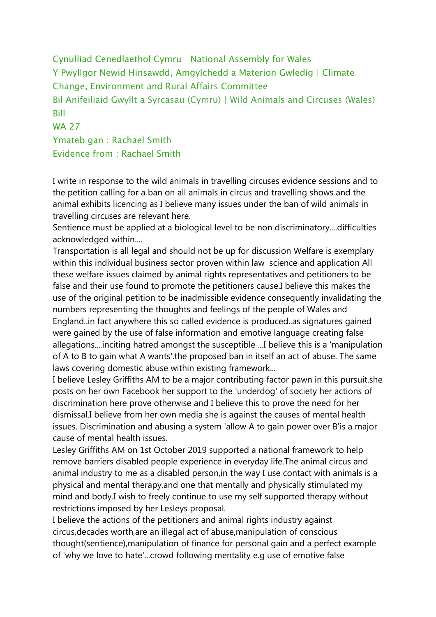Cynulliad Cenedlaethol Cymru | National Assembly for Wales Y Pwyllgor Newid Hinsawdd, Amgylchedd a Materion Gwledig | Climate Change, Environment and Rural Affairs Committee Bil Anifeiliaid Gwyllt a Syrcasau (Cymru) | Wild Animals and Circuses (Wales) Bill WA 27 Ymateb gan : Rachael Smith Evidence from : Rachael Smith

I write in response to the wild animals in travelling circuses evidence sessions and to the petition calling for a ban on all animals in circus and travelling shows and the animal exhibits licencing as I believe many issues under the ban of wild animals in travelling circuses are relevant here.

Sentience must be applied at a biological level to be non discriminatory....difficulties acknowledged within....

Transportation is all legal and should not be up for discussion Welfare is exemplary within this individual business sector proven within law science and application All these welfare issues claimed by animal rights representatives and petitioners to be false and their use found to promote the petitioners cause.I believe this makes the use of the original petition to be inadmissible evidence consequently invalidating the numbers representing the thoughts and feelings of the people of Wales and England..in fact anywhere this so called evidence is produced..as signatures gained were gained by the use of false information and emotive language creating false allegations....inciting hatred amongst the susceptible ...I believe this is a 'manipulation of A to B to gain what A wants'.the proposed ban in itself an act of abuse. The same laws covering domestic abuse within existing framework...

I believe Lesley Griffiths AM to be a major contributing factor pawn in this pursuit.she posts on her own Facebook her support to the 'underdog' of society her actions of discrimination here prove otherwise and I believe this to prove the need for her dismissal.I believe from her own media she is against the causes of mental health issues. Discrimination and abusing a system 'allow A to gain power over B'is a major cause of mental health issues.

Lesley Griffiths AM on 1st October 2019 supported a national framework to help remove barriers disabled people experience in everyday life.The animal circus and animal industry to me as a disabled person,in the way I use contact with animals is a physical and mental therapy,and one that mentally and physically stimulated my mind and body.I wish to freely continue to use my self supported therapy without restrictions imposed by her Lesleys proposal.

I believe the actions of the petitioners and animal rights industry against circus,decades worth,are an illegal act of abuse,manipulation of conscious thought(sentience),manipulation of finance for personal gain and a perfect example of 'why we love to hate'...crowd following mentality e.g use of emotive false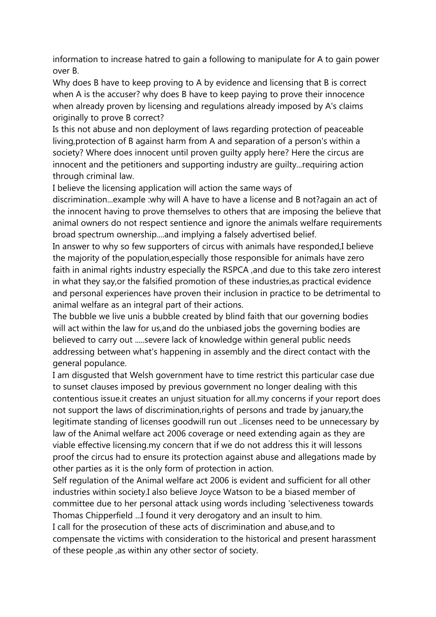information to increase hatred to gain a following to manipulate for A to gain power over B.

Why does B have to keep proving to A by evidence and licensing that B is correct when A is the accuser? why does B have to keep paying to prove their innocence when already proven by licensing and regulations already imposed by A's claims originally to prove B correct?

Is this not abuse and non deployment of laws regarding protection of peaceable living,protection of B against harm from A and separation of a person's within a society? Where does innocent until proven guilty apply here? Here the circus are innocent and the petitioners and supporting industry are guilty...requiring action through criminal law.

I believe the licensing application will action the same ways of

discrimination...example :why will A have to have a license and B not?again an act of the innocent having to prove themselves to others that are imposing the believe that animal owners do not respect sentience and ignore the animals welfare requirements broad spectrum ownership....and implying a falsely advertised belief.

In answer to why so few supporters of circus with animals have responded,I believe the majority of the population,especially those responsible for animals have zero faith in animal rights industry especially the RSPCA ,and due to this take zero interest in what they say,or the falsified promotion of these industries,as practical evidence and personal experiences have proven their inclusion in practice to be detrimental to animal welfare as an integral part of their actions.

The bubble we live unis a bubble created by blind faith that our governing bodies will act within the law for us,and do the unbiased jobs the governing bodies are believed to carry out .....severe lack of knowledge within general public needs addressing between what's happening in assembly and the direct contact with the general populance.

I am disgusted that Welsh government have to time restrict this particular case due to sunset clauses imposed by previous government no longer dealing with this contentious issue.it creates an unjust situation for all.my concerns if your report does not support the laws of discrimination,rights of persons and trade by january,the legitimate standing of licenses goodwill run out ..licenses need to be unnecessary by law of the Animal welfare act 2006 coverage or need extending again as they are viable effective licensing.my concern that if we do not address this it will lessons proof the circus had to ensure its protection against abuse and allegations made by other parties as it is the only form of protection in action.

Self regulation of the Animal welfare act 2006 is evident and sufficient for all other industries within society.I also believe Joyce Watson to be a biased member of committee due to her personal attack using words including 'selectiveness towards Thomas Chipperfield ...I found it very derogatory and an insult to him.

I call for the prosecution of these acts of discrimination and abuse,and to compensate the victims with consideration to the historical and present harassment of these people ,as within any other sector of society.